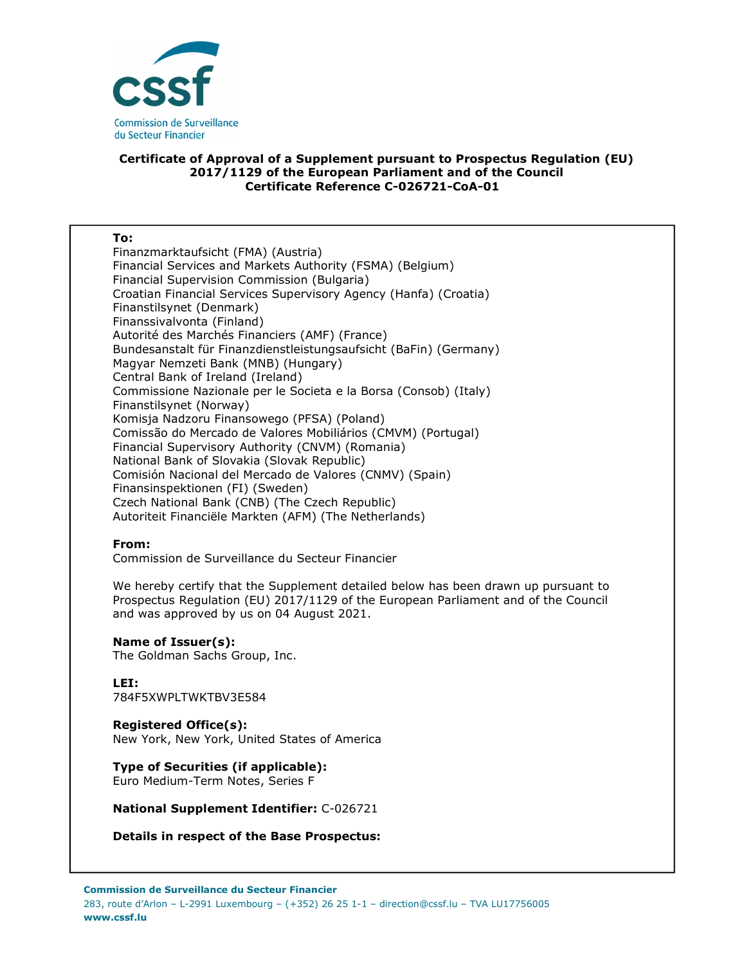

# **Certificate of Approval of a Supplement pursuant to Prospectus Regulation (EU) 2017/1129 of the European Parliament and of the Council Certificate Reference C-026721-CoA-01**

#### **To:**

Finanzmarktaufsicht (FMA) (Austria) Financial Services and Markets Authority (FSMA) (Belgium) Financial Supervision Commission (Bulgaria) Croatian Financial Services Supervisory Agency (Hanfa) (Croatia) Finanstilsynet (Denmark) Finanssivalvonta (Finland) Autorité des Marchés Financiers (AMF) (France) Bundesanstalt für Finanzdienstleistungsaufsicht (BaFin) (Germany) Magyar Nemzeti Bank (MNB) (Hungary) Central Bank of Ireland (Ireland) Commissione Nazionale per le Societa e la Borsa (Consob) (Italy) Finanstilsynet (Norway) Komisja Nadzoru Finansowego (PFSA) (Poland) Comissão do Mercado de Valores Mobiliários (CMVM) (Portugal) Financial Supervisory Authority (CNVM) (Romania) National Bank of Slovakia (Slovak Republic) Comisión Nacional del Mercado de Valores (CNMV) (Spain) Finansinspektionen (FI) (Sweden) Czech National Bank (CNB) (The Czech Republic) Autoriteit Financiële Markten (AFM) (The Netherlands)

### **From:**

Commission de Surveillance du Secteur Financier

We hereby certify that the Supplement detailed below has been drawn up pursuant to Prospectus Regulation (EU) 2017/1129 of the European Parliament and of the Council and was approved by us on 04 August 2021.

### **Name of Issuer(s):**

The Goldman Sachs Group, Inc.

# **LEI:**

784F5XWPLTWKTBV3E584

### **Registered Office(s):**

New York, New York, United States of America

# **Type of Securities (if applicable):**

Euro Medium-Term Notes, Series F

## **National Supplement Identifier:** C-026721

### **Details in respect of the Base Prospectus:**